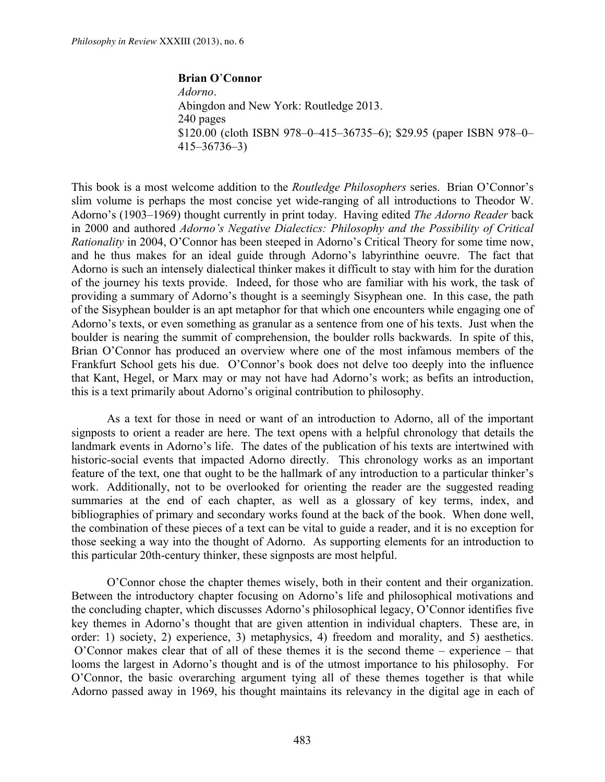**Brian O**'**Connor** *Adorno*. Abingdon and New York: Routledge 2013. 240 pages \$120.00 (cloth ISBN 978–0–415–36735–6); \$29.95 (paper ISBN 978–0– 415–36736–3)

This book is a most welcome addition to the *Routledge Philosophers* series. Brian O'Connor's slim volume is perhaps the most concise yet wide-ranging of all introductions to Theodor W. Adorno's (1903–1969) thought currently in print today. Having edited *The Adorno Reader* back in 2000 and authored *Adorno's Negative Dialectics: Philosophy and the Possibility of Critical Rationality* in 2004, O'Connor has been steeped in Adorno's Critical Theory for some time now, and he thus makes for an ideal guide through Adorno's labyrinthine oeuvre. The fact that Adorno is such an intensely dialectical thinker makes it difficult to stay with him for the duration of the journey his texts provide. Indeed, for those who are familiar with his work, the task of providing a summary of Adorno's thought is a seemingly Sisyphean one. In this case, the path of the Sisyphean boulder is an apt metaphor for that which one encounters while engaging one of Adorno's texts, or even something as granular as a sentence from one of his texts. Just when the boulder is nearing the summit of comprehension, the boulder rolls backwards. In spite of this, Brian O'Connor has produced an overview where one of the most infamous members of the Frankfurt School gets his due. O'Connor's book does not delve too deeply into the influence that Kant, Hegel, or Marx may or may not have had Adorno's work; as befits an introduction, this is a text primarily about Adorno's original contribution to philosophy.

As a text for those in need or want of an introduction to Adorno, all of the important signposts to orient a reader are here. The text opens with a helpful chronology that details the landmark events in Adorno's life. The dates of the publication of his texts are intertwined with historic-social events that impacted Adorno directly. This chronology works as an important feature of the text, one that ought to be the hallmark of any introduction to a particular thinker's work. Additionally, not to be overlooked for orienting the reader are the suggested reading summaries at the end of each chapter, as well as a glossary of key terms, index, and bibliographies of primary and secondary works found at the back of the book. When done well, the combination of these pieces of a text can be vital to guide a reader, and it is no exception for those seeking a way into the thought of Adorno. As supporting elements for an introduction to this particular 20th-century thinker, these signposts are most helpful.

O'Connor chose the chapter themes wisely, both in their content and their organization. Between the introductory chapter focusing on Adorno's life and philosophical motivations and the concluding chapter, which discusses Adorno's philosophical legacy, O'Connor identifies five key themes in Adorno's thought that are given attention in individual chapters. These are, in order: 1) society, 2) experience, 3) metaphysics, 4) freedom and morality, and 5) aesthetics. O'Connor makes clear that of all of these themes it is the second theme – experience – that looms the largest in Adorno's thought and is of the utmost importance to his philosophy. For O'Connor, the basic overarching argument tying all of these themes together is that while Adorno passed away in 1969, his thought maintains its relevancy in the digital age in each of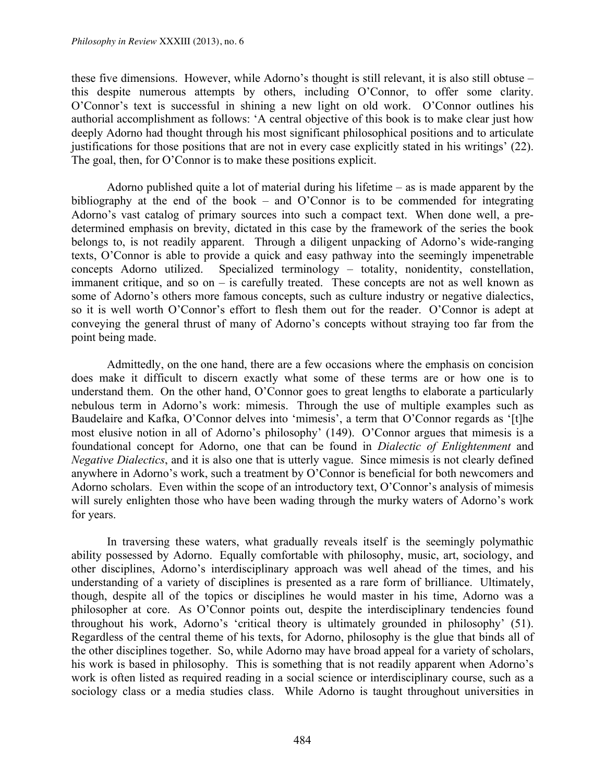these five dimensions. However, while Adorno's thought is still relevant, it is also still obtuse – this despite numerous attempts by others, including O'Connor, to offer some clarity. O'Connor's text is successful in shining a new light on old work. O'Connor outlines his authorial accomplishment as follows: 'A central objective of this book is to make clear just how deeply Adorno had thought through his most significant philosophical positions and to articulate justifications for those positions that are not in every case explicitly stated in his writings' (22). The goal, then, for O'Connor is to make these positions explicit.

Adorno published quite a lot of material during his lifetime  $-$  as is made apparent by the bibliography at the end of the book – and O'Connor is to be commended for integrating Adorno's vast catalog of primary sources into such a compact text. When done well, a predetermined emphasis on brevity, dictated in this case by the framework of the series the book belongs to, is not readily apparent. Through a diligent unpacking of Adorno's wide-ranging texts, O'Connor is able to provide a quick and easy pathway into the seemingly impenetrable concepts Adorno utilized. Specialized terminology – totality, nonidentity, constellation, immanent critique, and so on  $-$  is carefully treated. These concepts are not as well known as some of Adorno's others more famous concepts, such as culture industry or negative dialectics, so it is well worth O'Connor's effort to flesh them out for the reader. O'Connor is adept at conveying the general thrust of many of Adorno's concepts without straying too far from the point being made.

Admittedly, on the one hand, there are a few occasions where the emphasis on concision does make it difficult to discern exactly what some of these terms are or how one is to understand them. On the other hand, O'Connor goes to great lengths to elaborate a particularly nebulous term in Adorno's work: mimesis. Through the use of multiple examples such as Baudelaire and Kafka, O'Connor delves into 'mimesis', a term that O'Connor regards as '[t]he most elusive notion in all of Adorno's philosophy' (149). O'Connor argues that mimesis is a foundational concept for Adorno, one that can be found in *Dialectic of Enlightenment* and *Negative Dialectics*, and it is also one that is utterly vague. Since mimesis is not clearly defined anywhere in Adorno's work, such a treatment by O'Connor is beneficial for both newcomers and Adorno scholars. Even within the scope of an introductory text, O'Connor's analysis of mimesis will surely enlighten those who have been wading through the murky waters of Adorno's work for years.

In traversing these waters, what gradually reveals itself is the seemingly polymathic ability possessed by Adorno. Equally comfortable with philosophy, music, art, sociology, and other disciplines, Adorno's interdisciplinary approach was well ahead of the times, and his understanding of a variety of disciplines is presented as a rare form of brilliance. Ultimately, though, despite all of the topics or disciplines he would master in his time, Adorno was a philosopher at core. As O'Connor points out, despite the interdisciplinary tendencies found throughout his work, Adorno's 'critical theory is ultimately grounded in philosophy' (51). Regardless of the central theme of his texts, for Adorno, philosophy is the glue that binds all of the other disciplines together. So, while Adorno may have broad appeal for a variety of scholars, his work is based in philosophy. This is something that is not readily apparent when Adorno's work is often listed as required reading in a social science or interdisciplinary course, such as a sociology class or a media studies class. While Adorno is taught throughout universities in